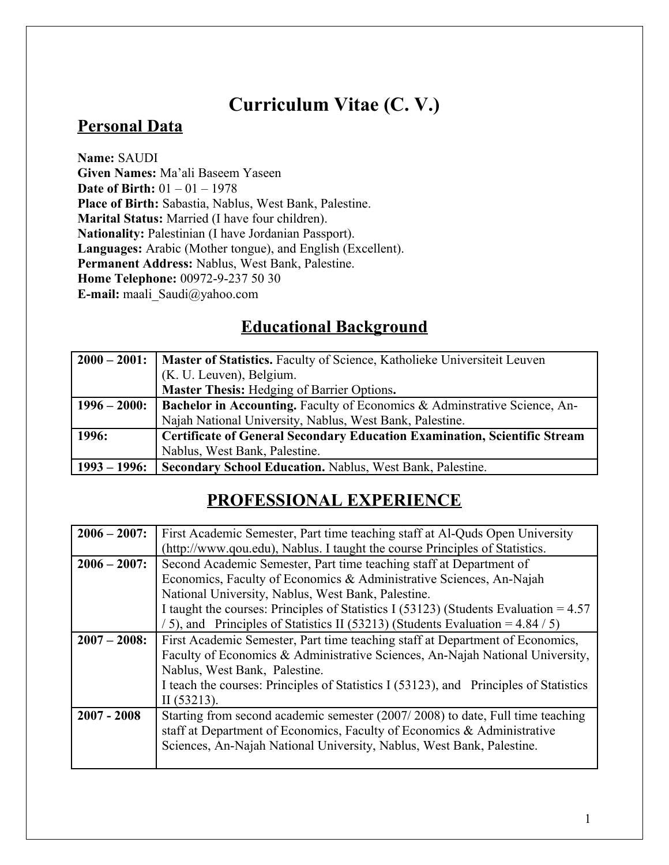# **Curriculum Vitae (C. V.)**

### **Personal Data**

**Name:** SAUDI **Given Names:** Ma'ali Baseem Yaseen **Date of Birth:** 01 – 01 – 1978 **Place of Birth:** Sabastia, Nablus, West Bank, Palestine. **Marital Status:** Married (I have four children). **Nationality:** Palestinian (I have Jordanian Passport). **Languages:** Arabic (Mother tongue), and English (Excellent). **Permanent Address:** Nablus, West Bank, Palestine. **Home Telephone:** 00972-9-237 50 30 **E-mail:** maali\_Saudi@yahoo.com

## **Educational Background**

|                 | 2000 – 2001:   Master of Statistics. Faculty of Science, Katholieke Universiteit Leuven |
|-----------------|-----------------------------------------------------------------------------------------|
|                 | (K. U. Leuven), Belgium.                                                                |
|                 | Master Thesis: Hedging of Barrier Options.                                              |
| $1996 - 2000$ : | Bachelor in Accounting. Faculty of Economics & Adminstrative Science, An-               |
|                 | Najah National University, Nablus, West Bank, Palestine.                                |
| 1996:           | <b>Certificate of General Secondary Education Examination, Scientific Stream</b>        |
|                 | Nablus, West Bank, Palestine.                                                           |
| $1993 - 1996$ : | <b>Secondary School Education.</b> Nablus, West Bank, Palestine.                        |

# **PROFESSIONAL EXPERIENCE**

| $2006 - 2007$ : | First Academic Semester, Part time teaching staff at Al-Quds Open University           |
|-----------------|----------------------------------------------------------------------------------------|
|                 | (http://www.qou.edu), Nablus. I taught the course Principles of Statistics.            |
| $2006 - 2007$ : | Second Academic Semester, Part time teaching staff at Department of                    |
|                 | Economics, Faculty of Economics & Administrative Sciences, An-Najah                    |
|                 | National University, Nablus, West Bank, Palestine.                                     |
|                 | I taught the courses: Principles of Statistics I (53123) (Students Evaluation = $4.57$ |
|                 | $(5)$ , and Principles of Statistics II (53213) (Students Evaluation = 4.84 / 5)       |
| $2007 - 2008$ : | First Academic Semester, Part time teaching staff at Department of Economics,          |
|                 | Faculty of Economics & Administrative Sciences, An-Najah National University,          |
|                 | Nablus, West Bank, Palestine.                                                          |
|                 | I teach the courses: Principles of Statistics I (53123), and Principles of Statistics  |
|                 | II(53213).                                                                             |
| $2007 - 2008$   | Starting from second academic semester (2007/2008) to date, Full time teaching         |
|                 | staff at Department of Economics, Faculty of Economics & Administrative                |
|                 | Sciences, An-Najah National University, Nablus, West Bank, Palestine.                  |
|                 |                                                                                        |